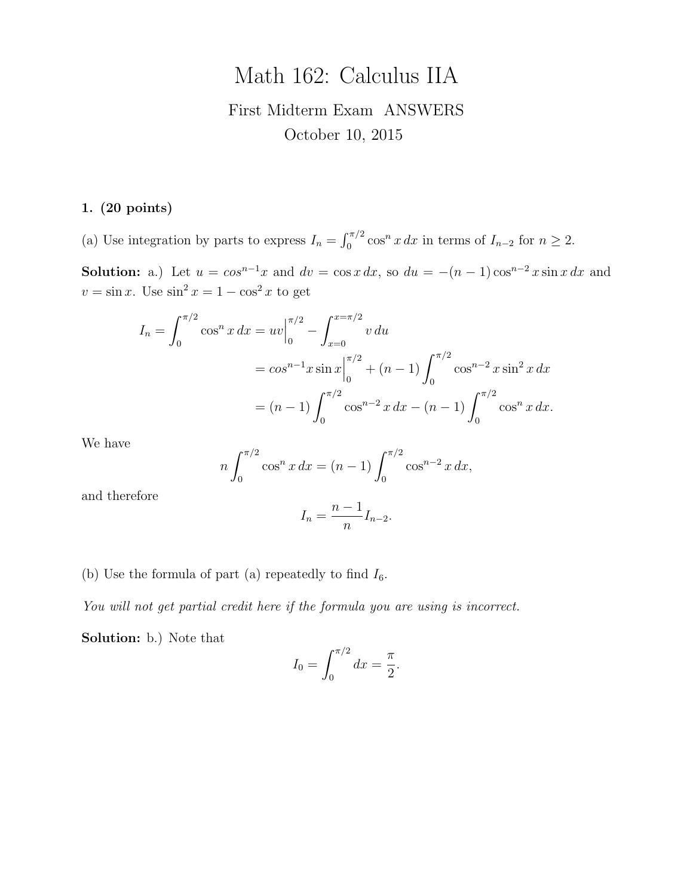# Math 162: Calculus IIA

## First Midterm Exam ANSWERS October 10, 2015

#### 1. (20 points)

(a) Use integration by parts to express  $I_n = \int_0^{\pi/2} \cos^n x \, dx$  in terms of  $I_{n-2}$  for  $n \ge 2$ .

Solution: a.) Let  $u = \cos^{n-1}x$  and  $dv = \cos x \, dx$ , so  $du = -(n-1)\cos^{n-2}x \sin x \, dx$  and  $v = \sin x$ . Use  $\sin^2 x = 1 - \cos^2 x$  to get

$$
I_n = \int_0^{\pi/2} \cos^n x \, dx = uv \Big|_0^{\pi/2} - \int_{x=0}^{x=\pi/2} v \, du
$$
  
=  $\cos^{n-1} x \sin x \Big|_0^{\pi/2} + (n-1) \int_0^{\pi/2} \cos^{n-2} x \sin^2 x \, dx$   
=  $(n-1) \int_0^{\pi/2} \cos^{n-2} x \, dx - (n-1) \int_0^{\pi/2} \cos^n x \, dx.$ 

We have

$$
n\int_0^{\pi/2} \cos^n x \, dx = (n-1) \int_0^{\pi/2} \cos^{n-2} x \, dx,
$$

and therefore

$$
I_n = \frac{n-1}{n} I_{n-2}.
$$

(b) Use the formula of part (a) repeatedly to find  $I_6$ .

You will not get partial credit here if the formula you are using is incorrect.

Solution: b.) Note that

$$
I_0 = \int_0^{\pi/2} dx = \frac{\pi}{2}.
$$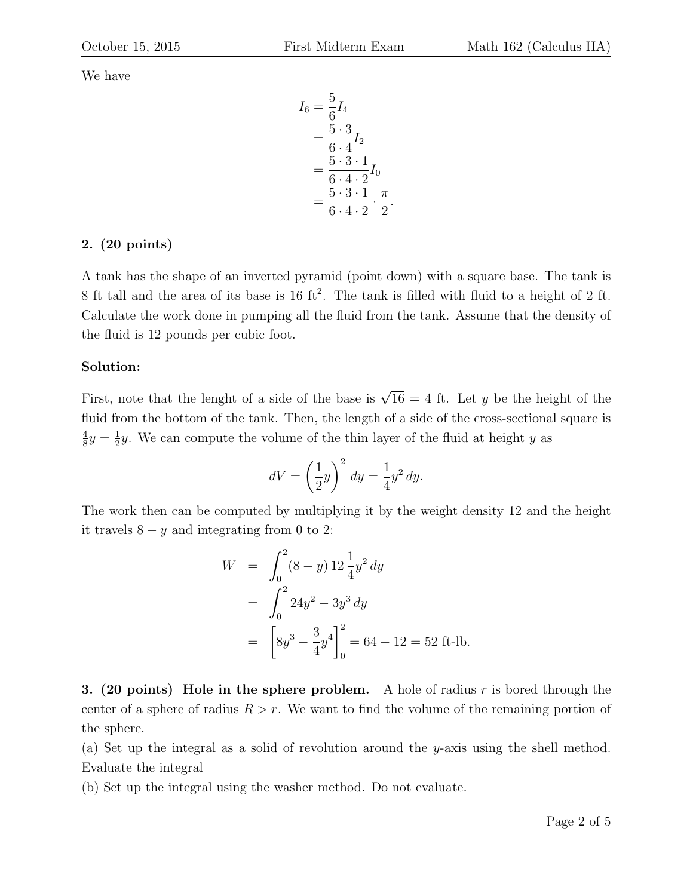We have

$$
I_6 = \frac{5}{6} I_4
$$
  
=  $\frac{5 \cdot 3}{6 \cdot 4} I_2$   
=  $\frac{5 \cdot 3 \cdot 1}{6 \cdot 4 \cdot 2} I_0$   
=  $\frac{5 \cdot 3 \cdot 1}{6 \cdot 4 \cdot 2} \cdot \frac{\pi}{2}$ .

#### 2. (20 points)

A tank has the shape of an inverted pyramid (point down) with a square base. The tank is 8 ft tall and the area of its base is 16 ft<sup>2</sup>. The tank is filled with fluid to a height of 2 ft. Calculate the work done in pumping all the fluid from the tank. Assume that the density of the fluid is 12 pounds per cubic foot.

#### Solution:

First, note that the lenght of a side of the base is  $\sqrt{16} = 4$  ft. Let y be the height of the fluid from the bottom of the tank. Then, the length of a side of the cross-sectional square is 4  $\frac{4}{8}y = \frac{1}{2}$  $\frac{1}{2}y$ . We can compute the volume of the thin layer of the fluid at height y as

$$
dV = \left(\frac{1}{2}y\right)^2 dy = \frac{1}{4}y^2 dy.
$$

The work then can be computed by multiplying it by the weight density 12 and the height it travels  $8 - y$  and integrating from 0 to 2:

$$
W = \int_0^2 (8 - y) 12 \frac{1}{4} y^2 dy
$$
  
= 
$$
\int_0^2 24y^2 - 3y^3 dy
$$
  
= 
$$
\left[ 8y^3 - \frac{3}{4} y^4 \right]_0^2 = 64 - 12 = 52 \text{ ft-lb.}
$$

3. (20 points) Hole in the sphere problem. A hole of radius  $r$  is bored through the center of a sphere of radius  $R > r$ . We want to find the volume of the remaining portion of the sphere.

(a) Set up the integral as a solid of revolution around the y-axis using the shell method. Evaluate the integral

(b) Set up the integral using the washer method. Do not evaluate.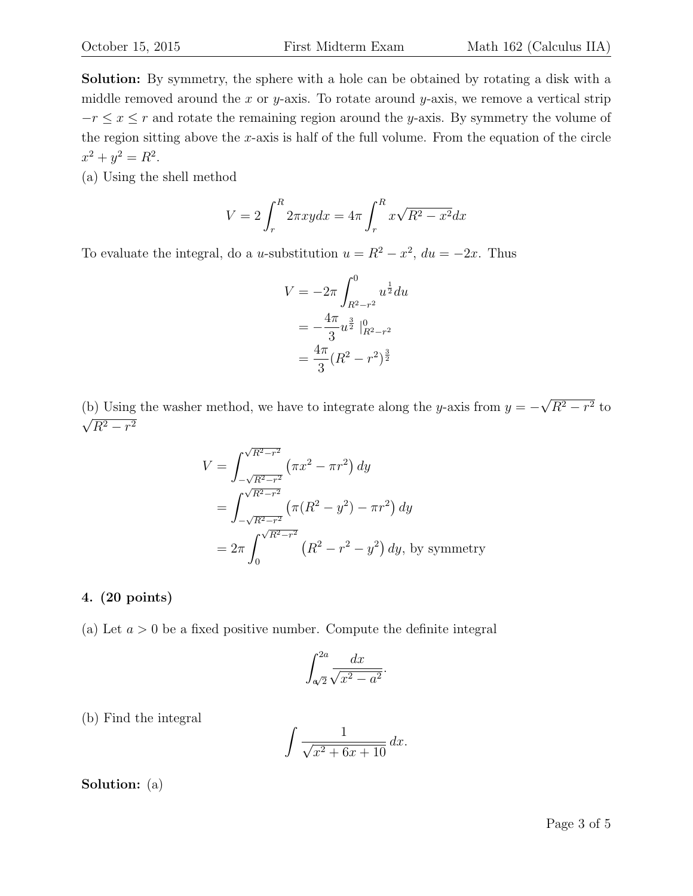Solution: By symmetry, the sphere with a hole can be obtained by rotating a disk with a middle removed around the x or y-axis. To rotate around y-axis, we remove a vertical strip  $-r \leq x \leq r$  and rotate the remaining region around the y-axis. By symmetry the volume of the region sitting above the  $x$ -axis is half of the full volume. From the equation of the circle  $x^2 + y^2 = R^2$ .

(a) Using the shell method

$$
V = 2\int_r^R 2\pi xy dx = 4\pi \int_r^R x\sqrt{R^2 - x^2} dx
$$

To evaluate the integral, do a u-substitution  $u = R^2 - x^2$ ,  $du = -2x$ . Thus

$$
V = -2\pi \int_{R^2 - r^2}^0 u^{\frac{1}{2}} du
$$
  
=  $-\frac{4\pi}{3} u^{\frac{3}{2}} |_{R^2 - r^2}^0$   
=  $\frac{4\pi}{3} (R^2 - r^2)^{\frac{3}{2}}$ 

(b) Using the washer method, we have to integrate along the y-axis from  $y = -$ √  $R^2-r^2$  to  $\frac{1}{2}$  $R^2-r^2$ 

$$
V = \int_{-\sqrt{R^2 - r^2}}^{\sqrt{R^2 - r^2}} (\pi x^2 - \pi r^2) dy
$$
  
= 
$$
\int_{-\sqrt{R^2 - r^2}}^{\sqrt{R^2 - r^2}} (\pi (R^2 - y^2) - \pi r^2) dy
$$
  
= 
$$
2\pi \int_{0}^{\sqrt{R^2 - r^2}} (R^2 - r^2 - y^2) dy
$$
, by symmetry

#### 4. (20 points)

(a) Let  $a > 0$  be a fixed positive number. Compute the definite integral

$$
\int_{\sqrt{2}}^{2a} \frac{dx}{\sqrt{x^2 - a^2}}.
$$

(b) Find the integral

$$
\int \frac{1}{\sqrt{x^2 + 6x + 10}} \, dx.
$$

Solution: (a)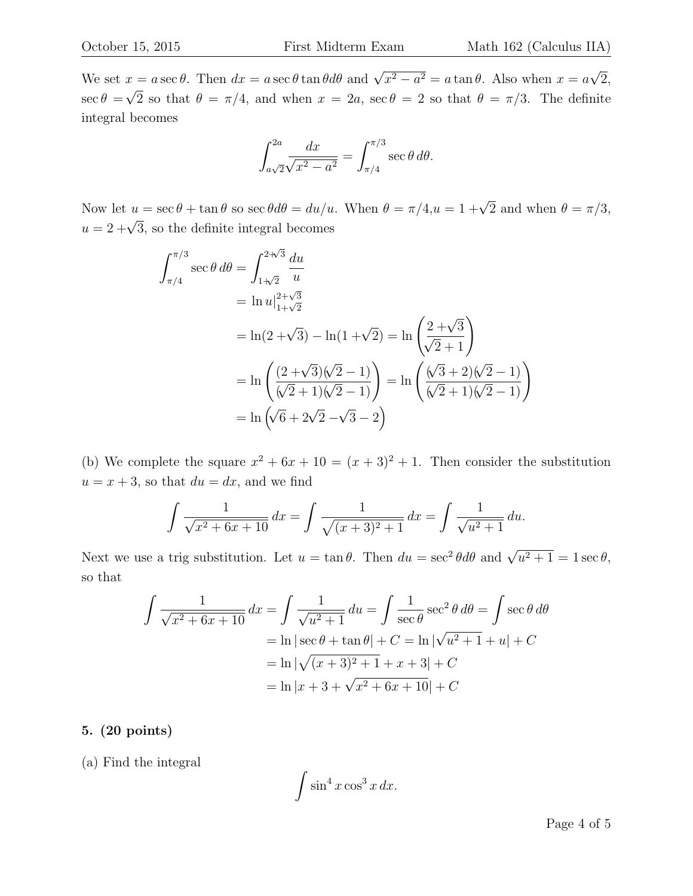We set  $x = a \sec \theta$ . Then  $dx = a \sec \theta \tan \theta d\theta$  and  $\sqrt{x^2 - a^2} = a \tan \theta$ . Also when  $x = a$ √ 2,  $\sec \theta =$  $\mathbf{v}_{\vert}$ 2 so that  $\theta = \pi/4$ , and when  $x = 2a$ , sec  $\theta = 2$  so that  $\theta = \pi/3$ . The definite integral becomes

$$
\int_{a\sqrt{2}}^{2a} \frac{dx}{\sqrt{x^2 - a^2}} = \int_{\pi/4}^{\pi/3} \sec \theta \, d\theta.
$$

Now let  $u = \sec \theta + \tan \theta$  so  $\sec \theta d\theta = du/u$ . When  $\theta = \pi/4, u = 1 + \sqrt{2}$  and when  $\theta = \pi/3$ , where  $u = \sec v + \tan v$  so see  $\cos u - \tan u$ <br> $u = 2 + \sqrt{3}$ , so the definite integral becomes

$$
\int_{\pi/4}^{\pi/3} \sec \theta \, d\theta = \int_{1+\sqrt{2}}^{2+\sqrt{3}} \frac{du}{u}
$$
  
=  $\ln u|_{1+\sqrt{2}}^{2+\sqrt{3}}$   
=  $\ln(2+\sqrt{3}) - \ln(1+\sqrt{2}) = \ln\left(\frac{2+\sqrt{3}}{\sqrt{2}+1}\right)$   
=  $\ln\left(\frac{(2+\sqrt{3})(\sqrt{2}-1)}{(\sqrt{2}+1)(\sqrt{2}-1)}\right) = \ln\left(\frac{(\sqrt{3}+2)(\sqrt{2}-1)}{(\sqrt{2}+1)(\sqrt{2}-1)}\right)$   
=  $\ln(\sqrt{6}+2\sqrt{2}-\sqrt{3}-2)$ 

(b) We complete the square  $x^2 + 6x + 10 = (x + 3)^2 + 1$ . Then consider the substitution  $u = x + 3$ , so that  $du = dx$ , and we find

$$
\int \frac{1}{\sqrt{x^2 + 6x + 10}} dx = \int \frac{1}{\sqrt{(x+3)^2 + 1}} dx = \int \frac{1}{\sqrt{u^2 + 1}} du.
$$

Next we use a trig substitution. Let  $u = \tan \theta$ . Then  $du = \sec^2 \theta d\theta$  and  $\sqrt{u^2 + 1} = 1 \sec \theta$ , so that

$$
\int \frac{1}{\sqrt{x^2 + 6x + 10}} dx = \int \frac{1}{\sqrt{u^2 + 1}} du = \int \frac{1}{\sec \theta} \sec^2 \theta d\theta = \int \sec \theta d\theta
$$

$$
= \ln|\sec \theta + \tan \theta| + C = \ln|\sqrt{u^2 + 1} + u| + C
$$

$$
= \ln|\sqrt{(x + 3)^2 + 1} + x + 3| + C
$$

$$
= \ln|x + 3 + \sqrt{x^2 + 6x + 10}| + C
$$

#### 5. (20 points)

(a) Find the integral

$$
\int \sin^4 x \cos^3 x \, dx.
$$